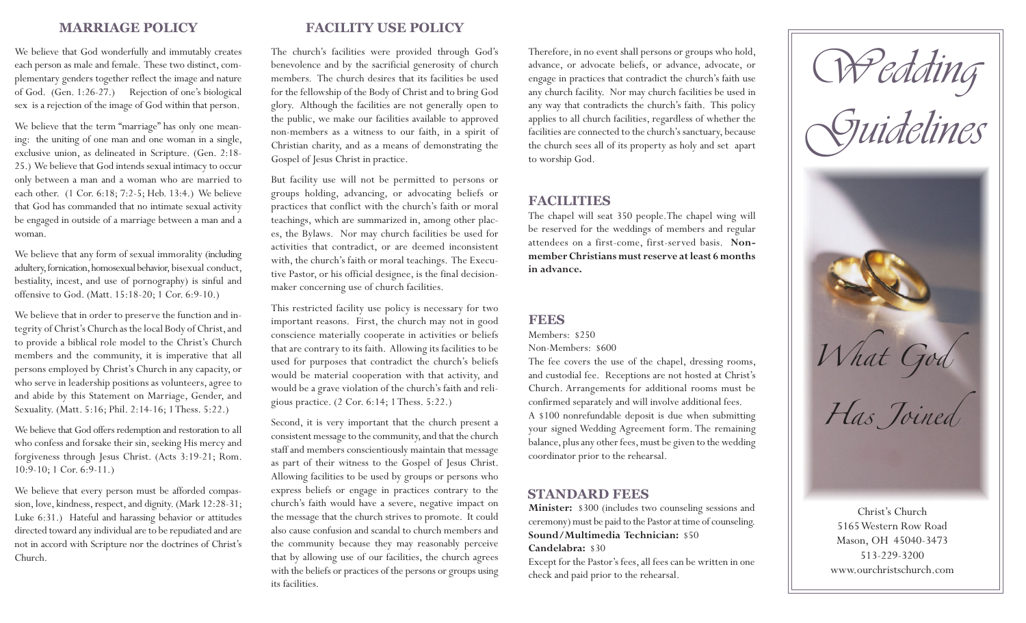## **MARRIAGE POLICY**

We believe that God wonderfully and immutably creates each person as male and female. These two distinct, complementary genders together reflect the image and nature of God. (Gen. 1:26-27.) Rejection of one's biological sex is a rejection of the image of God within that person.

We believe that the term "marriage" has only one meaning: the uniting of one man and one woman in a single, exclusive union, as delineated in Scripture. (Gen. 2:18- 25.) We believe that God intends sexual intimacy to occur only between a man and a woman who are married to each other. (1 Cor. 6:18; 7:2-5; Heb. 13:4.) We believe that God has commanded that no intimate sexual activity be engaged in outside of a marriage between a man and a woman.

We believe that any form of sexual immorality (including adultery, fornication, homosexual behavior, bisexual conduct, bestiality, incest, and use of pornography) is sinful and offensive to God. (Matt. 15:18-20; 1 Cor. 6:9-10.)

We believe that in order to preserve the function and integrity of Christ's Church as the local Body of Christ, and to provide a biblical role model to the Christ's Church members and the community, it is imperative that all persons employed by Christ's Church in any capacity, or who serve in leadership positions as volunteers, agree to and abide by this Statement on Marriage, Gender, and Sexuality. (Matt. 5:16; Phil. 2:14-16; 1 Thess. 5:22.)

We believe that God offers redemption and restoration to all who confess and forsake their sin, seeking His mercy and forgiveness through Jesus Christ. (Acts 3:19-21; Rom. 10:9-10; 1 Cor. 6:9-11.)

We believe that every person must be afforded compassion, love, kindness, respect, and dignity. (Mark 12:28-31; Luke 6:31.) Hateful and harassing behavior or attitudes directed toward any individual are to be repudiated and are not in accord with Scripture nor the doctrines of Christ's Church.

# **FACILITY USE POLICY**

The church's facilities were provided through God's benevolence and by the sacrificial generosity of church members. The church desires that its facilities be used for the fellowship of the Body of Christ and to bring God glory. Although the facilities are not generally open to the public, we make our facilities available to approved non-members as a witness to our faith, in a spirit of Christian charity, and as a means of demonstrating the Gospel of Jesus Christ in practice.

But facility use will not be permitted to persons or groups holding, advancing, or advocating beliefs or practices that conflict with the church's faith or moral teachings, which are summarized in, among other places, the Bylaws. Nor may church facilities be used for activities that contradict, or are deemed inconsistent with, the church's faith or moral teachings. The Executive Pastor, or his official designee, is the final decisionmaker concerning use of church facilities.

This restricted facility use policy is necessary for two important reasons. First, the church may not in good conscience materially cooperate in activities or beliefs that are contrary to its faith. Allowing its facilities to be used for purposes that contradict the church's beliefs would be material cooperation with that activity, and would be a grave violation of the church's faith and religious practice. (2 Cor. 6:14; 1 Thess. 5:22.)

Second, it is very important that the church present a consistent message to the community, and that the church staff and members conscientiously maintain that message as part of their witness to the Gospel of Jesus Christ. Allowing facilities to be used by groups or persons who express beliefs or engage in practices contrary to the church's faith would have a severe, negative impact on the message that the church strives to promote. It could also cause confusion and scandal to church members and the community because they may reasonably perceive that by allowing use of our facilities, the church agrees with the beliefs or practices of the persons or groups using its facilities.

Therefore, in no event shall persons or groups who hold, advance, or advocate beliefs, or advance, advocate, or engage in practices that contradict the church's faith use any church facility. Nor may church facilities be used in any way that contradicts the church's faith. This policy applies to all church facilities, regardless of whether the facilities are connected to the church's sanctuary, because the church sees all of its property as holy and set apart to worship God.

#### **FACILITIES**

The chapel will seat 350 people.The chapel wing will be reserved for the weddings of members and regular attendees on a first-come, first-served basis. **Nonmember Christians must reserve at least 6 months in advance.**

#### **FEES**

Members: \$250 Non-Members: \$600

The fee covers the use of the chapel, dressing rooms, and custodial fee. Receptions are not hosted at Christ's Church. Arrangements for additional rooms must be confirmed separately and will involve additional fees. A \$100 nonrefundable deposit is due when submitting your signed Wedding Agreement form. The remaining balance, plus any other fees, must be given to the wedding coordinator prior to the rehearsal.

## **STANDARD FEES**

**Minister:** \$300 (includes two counseling sessions and ceremony) must be paid to the Pastor at time of counseling. **Sound/Multimedia Technician:** \$50 **Candelabra:** \$30

Except for the Pastor's fees, all fees can be written in one check and paid prior to the rehearsal.



Christ's Church 5165 Western Row Road Mason, OH 45040-3473 513-229-3200 www.ourchristschurch.com